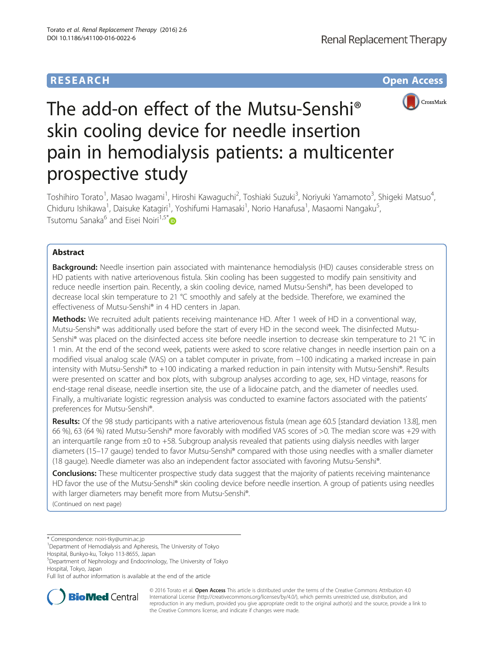## **RESEARCH CHE Open Access**



# The add-on effect of the Mutsu-Senshi® skin cooling device for needle insertion pain in hemodialysis patients: a multicenter prospective study

Toshihiro Torato<sup>1</sup>, Masao Iwagami<sup>1</sup>, Hiroshi Kawaguchi<sup>2</sup>, Toshiaki Suzuki<sup>3</sup>, Noriyuki Yamamoto<sup>3</sup>, Shigeki Matsuo<sup>4</sup> , Chiduru Ishikawa<sup>1</sup>, Daisuke Katagiri<sup>1</sup>, Yoshifumi Hamasaki<sup>1</sup>, Norio Hanafusa<sup>1</sup>, Masaomi Nangaku<sup>5</sup> , Tsutomu Sanaka<sup>6</sup> and Eisei Noiri<sup>1,5\*</sup>

## Abstract

**Background:** Needle insertion pain associated with maintenance hemodialysis (HD) causes considerable stress on HD patients with native arteriovenous fistula. Skin cooling has been suggested to modify pain sensitivity and reduce needle insertion pain. Recently, a skin cooling device, named Mutsu-Senshi®, has been developed to decrease local skin temperature to 21 °C smoothly and safely at the bedside. Therefore, we examined the effectiveness of Mutsu-Senshi® in 4 HD centers in Japan.

Methods: We recruited adult patients receiving maintenance HD. After 1 week of HD in a conventional way, Mutsu-Senshi® was additionally used before the start of every HD in the second week. The disinfected Mutsu-Senshi® was placed on the disinfected access site before needle insertion to decrease skin temperature to 21 °C in 1 min. At the end of the second week, patients were asked to score relative changes in needle insertion pain on a modified visual analog scale (VAS) on a tablet computer in private, from −100 indicating a marked increase in pain intensity with Mutsu-Senshi® to +100 indicating a marked reduction in pain intensity with Mutsu-Senshi®. Results were presented on scatter and box plots, with subgroup analyses according to age, sex, HD vintage, reasons for end-stage renal disease, needle insertion site, the use of a lidocaine patch, and the diameter of needles used. Finally, a multivariate logistic regression analysis was conducted to examine factors associated with the patients' preferences for Mutsu-Senshi®.

Results: Of the 98 study participants with a native arteriovenous fistula (mean age 60.5 [standard deviation 13.8], men 66 %), 63 (64 %) rated Mutsu-Senshi® more favorably with modified VAS scores of >0. The median score was +29 with an interquartile range from  $\pm 0$  to +58. Subgroup analysis revealed that patients using dialysis needles with larger diameters (15–17 gauge) tended to favor Mutsu-Senshi® compared with those using needles with a smaller diameter (18 gauge). Needle diameter was also an independent factor associated with favoring Mutsu-Senshi®.

Conclusions: These multicenter prospective study data suggest that the majority of patients receiving maintenance HD favor the use of the Mutsu-Senshi® skin cooling device before needle insertion. A group of patients using needles with larger diameters may benefit more from Mutsu-Senshi®. (Continued on next page)

\* Correspondence: [noiri-tky@umin.ac.jp](mailto:noiri-tky@umin.ac.jp) <sup>1</sup>

Hospital, Bunkyo-ku, Tokyo 113-8655, Japan

5 Department of Nephrology and Endocrinology, The University of Tokyo Hospital, Tokyo, Japan

Full list of author information is available at the end of the article



© 2016 Torato et al. Open Access This article is distributed under the terms of the Creative Commons Attribution 4.0 International License [\(http://creativecommons.org/licenses/by/4.0/](http://creativecommons.org/licenses/by/4.0/)), which permits unrestricted use, distribution, and reproduction in any medium, provided you give appropriate credit to the original author(s) and the source, provide a link to the Creative Commons license, and indicate if changes were made.

<sup>&</sup>lt;sup>1</sup>Department of Hemodialysis and Apheresis, The University of Tokyo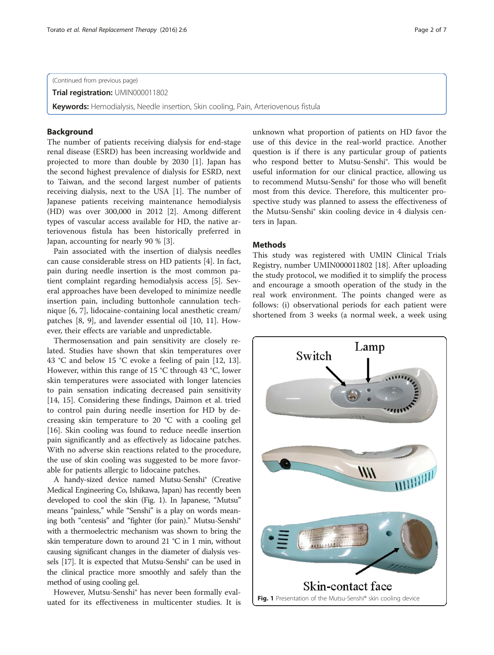(Continued from previous page)

Trial registration: [UMIN000011802](https://upload.umin.ac.jp/cgi-open-bin/ctr/ctr.cgi?function=brows&action=brows&type=summary&recptno=R000013800&language=E)

Keywords: Hemodialysis, Needle insertion, Skin cooling, Pain, Arteriovenous fistula

## Background

The number of patients receiving dialysis for end-stage renal disease (ESRD) has been increasing worldwide and projected to more than double by 2030 [\[1\]](#page-6-0). Japan has the second highest prevalence of dialysis for ESRD, next to Taiwan, and the second largest number of patients receiving dialysis, next to the USA [\[1](#page-6-0)]. The number of Japanese patients receiving maintenance hemodialysis (HD) was over 300,000 in 2012 [[2\]](#page-6-0). Among different types of vascular access available for HD, the native arteriovenous fistula has been historically preferred in Japan, accounting for nearly 90 % [\[3](#page-6-0)].

Pain associated with the insertion of dialysis needles can cause considerable stress on HD patients [[4](#page-6-0)]. In fact, pain during needle insertion is the most common patient complaint regarding hemodialysis access [\[5](#page-6-0)]. Several approaches have been developed to minimize needle insertion pain, including buttonhole cannulation technique [[6, 7\]](#page-6-0), lidocaine-containing local anesthetic cream/ patches [\[8](#page-6-0), [9](#page-6-0)], and lavender essential oil [\[10](#page-6-0), [11](#page-6-0)]. However, their effects are variable and unpredictable.

Thermosensation and pain sensitivity are closely related. Studies have shown that skin temperatures over 43 °C and below 15 °C evoke a feeling of pain [[12](#page-6-0), [13](#page-6-0)]. However, within this range of 15 °C through 43 °C, lower skin temperatures were associated with longer latencies to pain sensation indicating decreased pain sensitivity [[14, 15](#page-6-0)]. Considering these findings, Daimon et al. tried to control pain during needle insertion for HD by decreasing skin temperature to 20 °C with a cooling gel [[16\]](#page-6-0). Skin cooling was found to reduce needle insertion pain significantly and as effectively as lidocaine patches. With no adverse skin reactions related to the procedure, the use of skin cooling was suggested to be more favorable for patients allergic to lidocaine patches.

A handy-sized device named Mutsu-Senshi® (Creative Medical Engineering Co, Ishikawa, Japan) has recently been developed to cool the skin (Fig. 1). In Japanese, "Mutsu" means "painless," while "Senshi" is a play on words meaning both "centesis" and "fighter (for pain)." Mutsu-Senshi® with a thermoelectric mechanism was shown to bring the skin temperature down to around 21 °C in 1 min, without causing significant changes in the diameter of dialysis vessels [\[17](#page-6-0)]. It is expected that Mutsu-Senshi® can be used in the clinical practice more smoothly and safely than the method of using cooling gel.

However, Mutsu-Senshi® has never been formally evaluated for its effectiveness in multicenter studies. It is unknown what proportion of patients on HD favor the use of this device in the real-world practice. Another question is if there is any particular group of patients who respond better to Mutsu-Senshi®. This would be useful information for our clinical practice, allowing us to recommend Mutsu-Senshi® for those who will benefit most from this device. Therefore, this multicenter prospective study was planned to assess the effectiveness of the Mutsu-Senshi® skin cooling device in 4 dialysis centers in Japan.

## **Methods**

This study was registered with UMIN Clinical Trials Registry, number UMIN000011802 [[18](#page-6-0)]. After uploading the study protocol, we modified it to simplify the process and encourage a smooth operation of the study in the real work environment. The points changed were as follows: (i) observational periods for each patient were shortened from 3 weeks (a normal week, a week using

Switch

Lamp

WI 111111111 Skin-contact face Fig. 1 Presentation of the Mutsu-Senshi<sup>®</sup> skin cooling device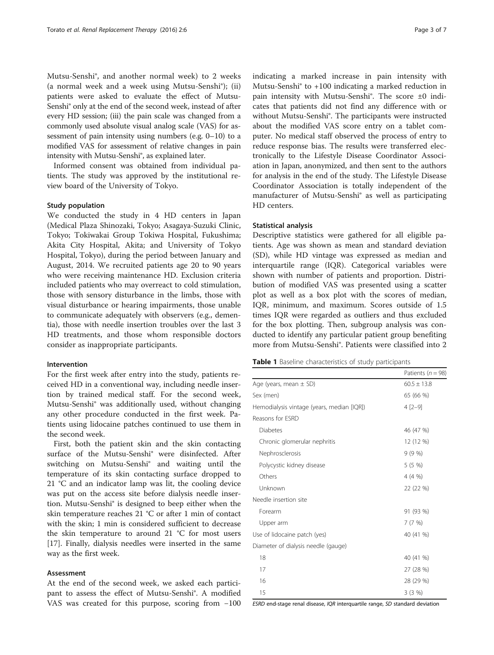<span id="page-2-0"></span>Mutsu-Senshi®, and another normal week) to 2 weeks (a normal week and a week using Mutsu-Senshi®); (ii) patients were asked to evaluate the effect of Mutsu-Senshi® only at the end of the second week, instead of after every HD session; (iii) the pain scale was changed from a commonly used absolute visual analog scale (VAS) for assessment of pain intensity using numbers (e.g. 0–10) to a modified VAS for assessment of relative changes in pain intensity with Mutsu-Senshi®, as explained later.

Informed consent was obtained from individual patients. The study was approved by the institutional review board of the University of Tokyo.

## Study population

We conducted the study in 4 HD centers in Japan (Medical Plaza Shinozaki, Tokyo; Asagaya-Suzuki Clinic, Tokyo; Tokiwakai Group Tokiwa Hospital, Fukushima; Akita City Hospital, Akita; and University of Tokyo Hospital, Tokyo), during the period between January and August, 2014. We recruited patients age 20 to 90 years who were receiving maintenance HD. Exclusion criteria included patients who may overreact to cold stimulation, those with sensory disturbance in the limbs, those with visual disturbance or hearing impairments, those unable to communicate adequately with observers (e.g., dementia), those with needle insertion troubles over the last 3 HD treatments, and those whom responsible doctors consider as inappropriate participants.

## Intervention

For the first week after entry into the study, patients received HD in a conventional way, including needle insertion by trained medical staff. For the second week, Mutsu-Senshi® was additionally used, without changing any other procedure conducted in the first week. Patients using lidocaine patches continued to use them in the second week.

First, both the patient skin and the skin contacting surface of the Mutsu-Senshi® were disinfected. After switching on Mutsu-Senshi® and waiting until the temperature of its skin contacting surface dropped to 21 °C and an indicator lamp was lit, the cooling device was put on the access site before dialysis needle insertion. Mutsu-Senshi® is designed to beep either when the skin temperature reaches 21 °C or after 1 min of contact with the skin; 1 min is considered sufficient to decrease the skin temperature to around 21 °C for most users [[17\]](#page-6-0). Finally, dialysis needles were inserted in the same way as the first week.

## Assessment

At the end of the second week, we asked each participant to assess the effect of Mutsu-Senshi®. A modified VAS was created for this purpose, scoring from −100

indicating a marked increase in pain intensity with Mutsu-Senshi® to +100 indicating a marked reduction in pain intensity with Mutsu-Senshi®. The score ±0 indicates that patients did not find any difference with or without Mutsu-Senshi®. The participants were instructed about the modified VAS score entry on a tablet computer. No medical staff observed the process of entry to reduce response bias. The results were transferred electronically to the Lifestyle Disease Coordinator Association in Japan, anonymized, and then sent to the authors for analysis in the end of the study. The Lifestyle Disease Coordinator Association is totally independent of the manufacturer of Mutsu-Senshi® as well as participating HD centers.

## Statistical analysis

Descriptive statistics were gathered for all eligible patients. Age was shown as mean and standard deviation (SD), while HD vintage was expressed as median and interquartile range (IQR). Categorical variables were shown with number of patients and proportion. Distribution of modified VAS was presented using a scatter plot as well as a box plot with the scores of median, IQR, minimum, and maximum. Scores outside of 1.5 times IQR were regarded as outliers and thus excluded for the box plotting. Then, subgroup analysis was conducted to identify any particular patient group benefiting more from Mutsu-Senshi®. Patients were classified into 2

|  |  | Table 1 Baseline characteristics of study participants |  |  |
|--|--|--------------------------------------------------------|--|--|
|--|--|--------------------------------------------------------|--|--|

|                                            | Patients ( $n = 98$ ) |
|--------------------------------------------|-----------------------|
| Age (years, mean $\pm$ SD)                 | $60.5 \pm 13.8$       |
| Sex (men)                                  | 65 (66 %)             |
| Hemodialysis vintage (years, median [IQR]) | $4 [2 - 9]$           |
| Reasons for ESRD                           |                       |
| Diabetes                                   | 46 (47 %)             |
| Chronic glomerular nephritis               | 12 (12 %)             |
| Nephrosclerosis                            | 9(9%                  |
| Polycystic kidney disease                  | $5(5\%)$              |
| Others                                     | 4(4%                  |
| Unknown                                    | 22 (22 %)             |
| Needle insertion site                      |                       |
| Forearm                                    | 91 (93 %)             |
| Upper arm                                  | 7(7%)                 |
| Use of lidocaine patch (yes)               | 40 (41 %)             |
| Diameter of dialysis needle (gauge)        |                       |
| 18                                         | 40 (41 %)             |
| 17                                         | 27 (28 %)             |
| 16                                         | 28 (29 %)             |
| 15                                         | $3(3\%)$              |

ESRD end-stage renal disease, IQR interquartile range, SD standard deviation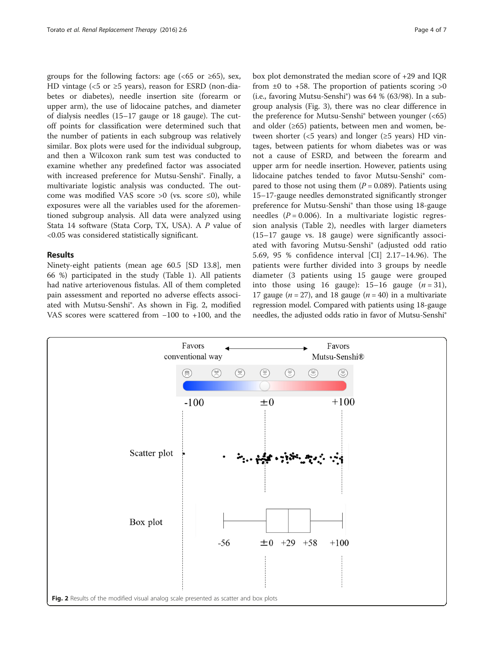groups for the following factors: age ( $<65$  or  $\geq 65$ ), sex, HD vintage (<5 or  $\geq$ 5 years), reason for ESRD (non-diabetes or diabetes), needle insertion site (forearm or upper arm), the use of lidocaine patches, and diameter of dialysis needles (15–17 gauge or 18 gauge). The cutoff points for classification were determined such that the number of patients in each subgroup was relatively similar. Box plots were used for the individual subgroup, and then a Wilcoxon rank sum test was conducted to examine whether any predefined factor was associated with increased preference for Mutsu-Senshi®. Finally, a multivariate logistic analysis was conducted. The outcome was modified VAS score >0 (vs. score  $\leq$ 0), while exposures were all the variables used for the aforementioned subgroup analysis. All data were analyzed using Stata 14 software (Stata Corp, TX, USA). A P value of <0.05 was considered statistically significant.

## Results

Ninety-eight patients (mean age 60.5 [SD 13.8], men 66 %) participated in the study (Table [1](#page-2-0)). All patients had native arteriovenous fistulas. All of them completed pain assessment and reported no adverse effects associated with Mutsu-Senshi®. As shown in Fig. 2, modified VAS scores were scattered from −100 to +100, and the box plot demonstrated the median score of +29 and IQR from  $\pm 0$  to  $\pm 58$ . The proportion of patients scoring  $>0$ (i.e., favoring Mutsu-Senshi®) was 64 % (63/98). In a subgroup analysis (Fig. [3\)](#page-4-0), there was no clear difference in the preference for Mutsu-Senshi® between younger (<65) and older  $(≥65)$  patients, between men and women, between shorter (<5 years) and longer ( $\geq$ 5 years) HD vintages, between patients for whom diabetes was or was not a cause of ESRD, and between the forearm and upper arm for needle insertion. However, patients using lidocaine patches tended to favor Mutsu-Senshi® compared to those not using them  $(P = 0.089)$ . Patients using 15–17-gauge needles demonstrated significantly stronger preference for Mutsu-Senshi® than those using 18-gauge needles ( $P = 0.006$ ). In a multivariate logistic regression analysis (Table [2\)](#page-5-0), needles with larger diameters (15–17 gauge vs. 18 gauge) were significantly associated with favoring Mutsu-Senshi® (adjusted odd ratio 5.69, 95 % confidence interval [CI] 2.17–14.96). The patients were further divided into 3 groups by needle diameter (3 patients using 15 gauge were grouped into those using 16 gauge):  $15-16$  gauge  $(n = 31)$ , 17 gauge ( $n = 27$ ), and 18 gauge ( $n = 40$ ) in a multivariate regression model. Compared with patients using 18-gauge needles, the adjusted odds ratio in favor of Mutsu-Senshi®

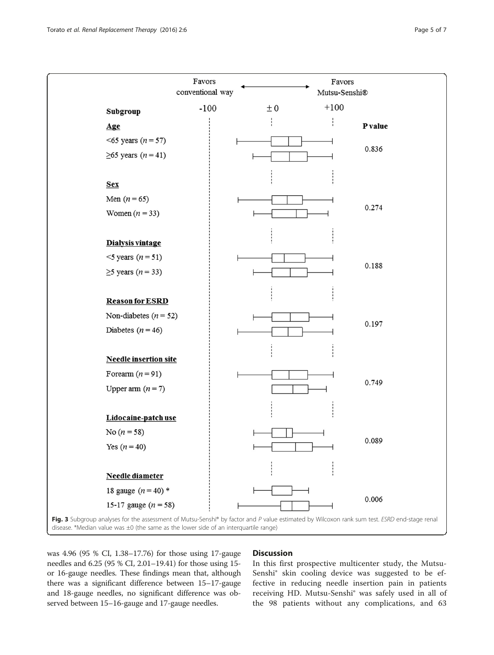<span id="page-4-0"></span>

was 4.96 (95 % CI, 1.38–17.76) for those using 17-gauge needles and 6.25 (95 % CI, 2.01–19.41) for those using 15 or 16-gauge needles. These findings mean that, although there was a significant difference between 15–17-gauge and 18-gauge needles, no significant difference was observed between 15–16-gauge and 17-gauge needles.

## **Discussion**

In this first prospective multicenter study, the Mutsu-Senshi® skin cooling device was suggested to be effective in reducing needle insertion pain in patients receiving HD. Mutsu-Senshi® was safely used in all of the 98 patients without any complications, and 63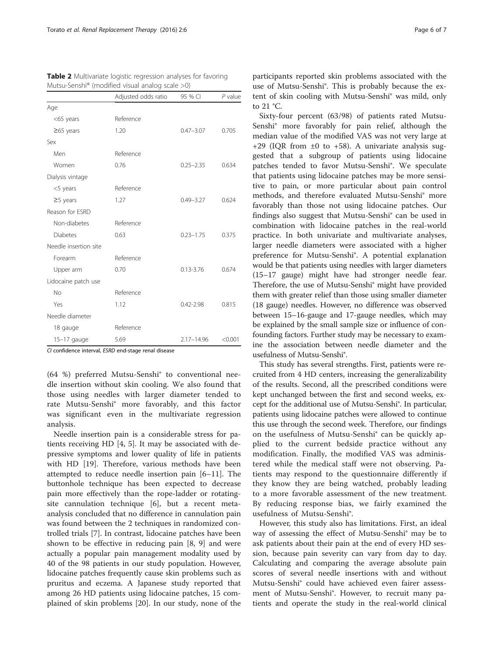<span id="page-5-0"></span>

| <b>Table 2</b> Multivariate logistic regression analyses for favoring |
|-----------------------------------------------------------------------|
| Mutsu-Senshi <sup>®</sup> (modified visual analog scale $>0$ )        |

|                       | Adjusted odds ratio | 95 % CI        | $P$ value |
|-----------------------|---------------------|----------------|-----------|
| Age                   |                     |                |           |
| <65 years             | Reference           |                |           |
| $\geq$ 65 years       | 1.20                | $0.47 - 3.07$  | 0.705     |
| Sex                   |                     |                |           |
| Men                   | Reference           |                |           |
| Women                 | 0.76                | $0.25 - 2.35$  | 0.634     |
| Dialysis vintage      |                     |                |           |
| <5 years              | Reference           |                |           |
| $\geq$ 5 years        | 1.27                | $0.49 - 3.27$  | 0.624     |
| Reason for ESRD       |                     |                |           |
| Non-diabetes          | Reference           |                |           |
| <b>Diabetes</b>       | 0.63                | $0.23 - 1.75$  | 0.375     |
| Needle insertion site |                     |                |           |
| Forearm               | Reference           |                |           |
| Upper arm             | 0.70                | $0.13 - 3.76$  | 0.674     |
| Lidocaine patch use   |                     |                |           |
| <b>No</b>             | Reference           |                |           |
| Yes                   | 1.12                | $0.42 - 2.98$  | 0.815     |
| Needle diameter       |                     |                |           |
| 18 gauge              | Reference           |                |           |
| $15-17$ gauge         | 5.69                | $2.17 - 14.96$ | < 0.001   |

CI confidence interval, ESRD end-stage renal disease

(64 %) preferred Mutsu-Senshi® to conventional needle insertion without skin cooling. We also found that those using needles with larger diameter tended to rate Mutsu-Senshi® more favorably, and this factor was significant even in the multivariate regression analysis.

Needle insertion pain is a considerable stress for patients receiving HD [\[4, 5](#page-6-0)]. It may be associated with depressive symptoms and lower quality of life in patients with HD [\[19](#page-6-0)]. Therefore, various methods have been attempted to reduce needle insertion pain [[6](#page-6-0)–[11\]](#page-6-0). The buttonhole technique has been expected to decrease pain more effectively than the rope-ladder or rotatingsite cannulation technique [\[6\]](#page-6-0), but a recent metaanalysis concluded that no difference in cannulation pain was found between the 2 techniques in randomized controlled trials [[7\]](#page-6-0). In contrast, lidocaine patches have been shown to be effective in reducing pain [\[8](#page-6-0), [9\]](#page-6-0) and were actually a popular pain management modality used by 40 of the 98 patients in our study population. However, lidocaine patches frequently cause skin problems such as pruritus and eczema. A Japanese study reported that among 26 HD patients using lidocaine patches, 15 complained of skin problems [\[20](#page-6-0)]. In our study, none of the participants reported skin problems associated with the use of Mutsu-Senshi®. This is probably because the extent of skin cooling with Mutsu-Senshi® was mild, only to 21 °C.

Sixty-four percent (63/98) of patients rated Mutsu-Senshi® more favorably for pain relief, although the median value of the modified VAS was not very large at +29 (IQR from  $\pm 0$  to +58). A univariate analysis suggested that a subgroup of patients using lidocaine patches tended to favor Mutsu-Senshi®. We speculate that patients using lidocaine patches may be more sensitive to pain, or more particular about pain control methods, and therefore evaluated Mutsu-Senshi® more favorably than those not using lidocaine patches. Our findings also suggest that Mutsu-Senshi® can be used in combination with lidocaine patches in the real-world practice. In both univariate and multivariate analyses, larger needle diameters were associated with a higher preference for Mutsu-Senshi®. A potential explanation would be that patients using needles with larger diameters (15–17 gauge) might have had stronger needle fear. Therefore, the use of Mutsu-Senshi® might have provided them with greater relief than those using smaller diameter (18 gauge) needles. However, no difference was observed between 15–16-gauge and 17-gauge needles, which may be explained by the small sample size or influence of confounding factors. Further study may be necessary to examine the association between needle diameter and the usefulness of Mutsu-Senshi®.

This study has several strengths. First, patients were recruited from 4 HD centers, increasing the generalizability of the results. Second, all the prescribed conditions were kept unchanged between the first and second weeks, except for the additional use of Mutsu-Senshi®. In particular, patients using lidocaine patches were allowed to continue this use through the second week. Therefore, our findings on the usefulness of Mutsu-Senshi® can be quickly applied to the current bedside practice without any modification. Finally, the modified VAS was administered while the medical staff were not observing. Patients may respond to the questionnaire differently if they know they are being watched, probably leading to a more favorable assessment of the new treatment. By reducing response bias, we fairly examined the usefulness of Mutsu-Senshi®.

However, this study also has limitations. First, an ideal way of assessing the effect of Mutsu-Senshi® may be to ask patients about their pain at the end of every HD session, because pain severity can vary from day to day. Calculating and comparing the average absolute pain scores of several needle insertions with and without Mutsu-Senshi® could have achieved even fairer assessment of Mutsu-Senshi®. However, to recruit many patients and operate the study in the real-world clinical